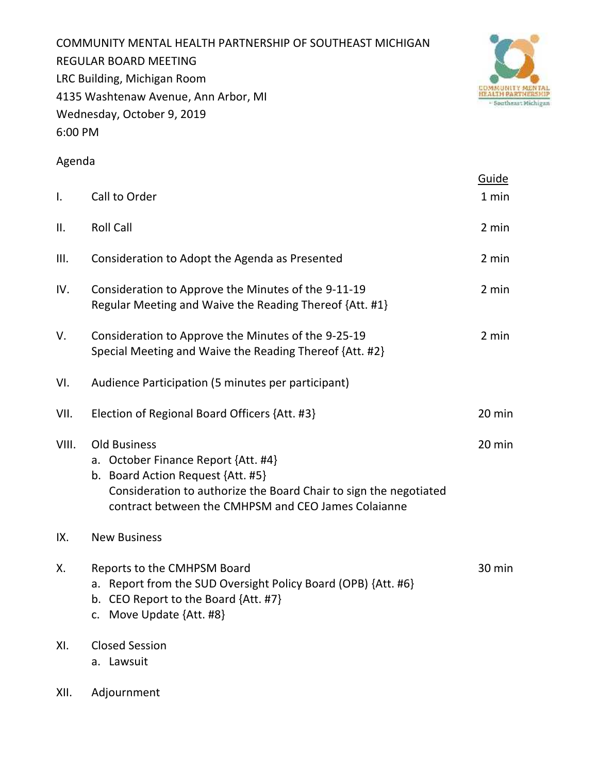COMMUNITY MENTAL HEALTH PARTNERSHIP OF SOUTHEAST MICHIGAN REGULAR BOARD MEETING LRC Building, Michigan Room 4135 Washtenaw Avenue, Ann Arbor, MI Wednesday, October 9, 2019 6:00 PM



# Agenda

|                |                                                                                                                                                                                                                             | Guide  |
|----------------|-----------------------------------------------------------------------------------------------------------------------------------------------------------------------------------------------------------------------------|--------|
| $\mathsf{I}$ . | Call to Order                                                                                                                                                                                                               | 1 min  |
| II.            | <b>Roll Call</b>                                                                                                                                                                                                            | 2 min  |
| III.           | Consideration to Adopt the Agenda as Presented                                                                                                                                                                              | 2 min  |
| IV.            | Consideration to Approve the Minutes of the 9-11-19<br>Regular Meeting and Waive the Reading Thereof {Att. #1}                                                                                                              | 2 min  |
| V.             | Consideration to Approve the Minutes of the 9-25-19<br>Special Meeting and Waive the Reading Thereof {Att. #2}                                                                                                              | 2 min  |
| VI.            | Audience Participation (5 minutes per participant)                                                                                                                                                                          |        |
| VII.           | Election of Regional Board Officers {Att. #3}                                                                                                                                                                               | 20 min |
| VIII.          | <b>Old Business</b><br>a. October Finance Report {Att. #4}<br>b. Board Action Request {Att. #5}<br>Consideration to authorize the Board Chair to sign the negotiated<br>contract between the CMHPSM and CEO James Colaianne | 20 min |
| IX.            | <b>New Business</b>                                                                                                                                                                                                         |        |
| Х.             | Reports to the CMHPSM Board<br>a. Report from the SUD Oversight Policy Board (OPB) {Att. #6}<br>b. CEO Report to the Board {Att. #7}<br>c. Move Update {Att. #8}                                                            | 30 min |
| XI.            | <b>Closed Session</b><br>a. Lawsuit                                                                                                                                                                                         |        |
| XII.           | Adjournment                                                                                                                                                                                                                 |        |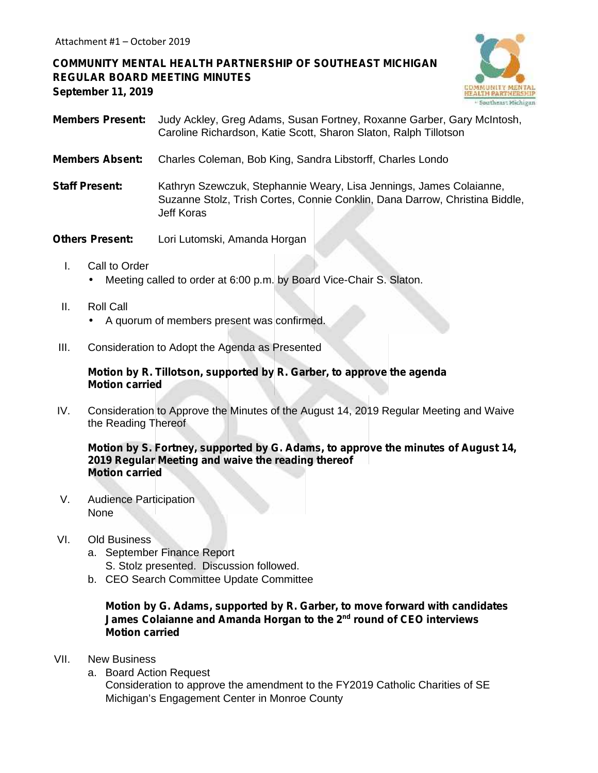**COMMUNITY MENTAL HEALTH PARTNERSHIP OF SOUTHEAST MICHIGAN REGULAR BOARD MEETING MINUTES September 11, 2019**



- **Members Present:** Judy Ackley, Greg Adams, Susan Fortney, Roxanne Garber, Gary McIntosh, Caroline Richardson, Katie Scott, Sharon Slaton, Ralph Tillotson
- **Members Absent:** Charles Coleman, Bob King, Sandra Libstorff, Charles Londo
- **Staff Present:** Kathryn Szewczuk, Stephannie Weary, Lisa Jennings, James Colaianne, Suzanne Stolz, Trish Cortes, Connie Conklin, Dana Darrow, Christina Biddle, Jeff Koras
- **Others Present:** Lori Lutomski, Amanda Horgan
	- I. Call to Order Meeting called to order at 6:00 p.m. by Board Vice-Chair S. Slaton.
	- II. Roll Call
		- A quorum of members present was confirmed.
- III. Consideration to Adopt the Agenda as Presented

#### **Motion by R. Tillotson, supported by R. Garber, to approve the agenda Motion carried**

IV. Consideration to Approve the Minutes of the August 14, 2019 Regular Meeting and Waive the Reading Thereof

**Motion by S. Fortney, supported by G. Adams, to approve the minutes of August 14, 2019 Regular Meeting and waive the reading thereof Motion carried**

V. Audience Participation None

#### VI. Old Business

- a. September Finance Report S. Stolz presented. Discussion followed.
- b. CEO Search Committee Update Committee

#### **Motion by G. Adams, supported by R. Garber, to move forward with candidates James Colaianne and Amanda Horgan to the 2nd round of CEO interviews Motion carried**

- VII. New Business
	- a. Board Action Request

Consideration to approve the amendment to the FY2019 Catholic Charities of SE Michigan's Engagement Center in Monroe County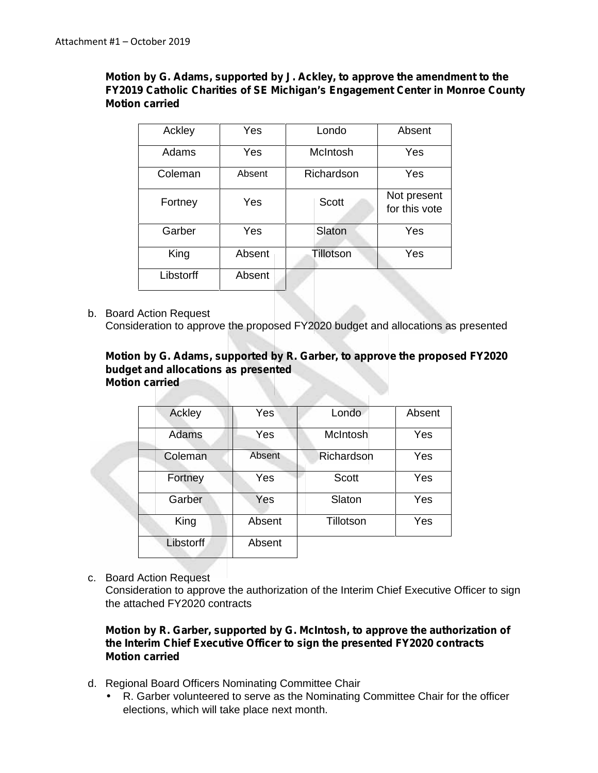## **Motion by G. Adams, supported by J. Ackley, to approve the amendment to the FY2019 Catholic Charities of SE Michigan's Engagement Center in Monroe County Motion carried**

| Ackley    | Yes    | Londo        | Absent                       |  |  |  |  |  |  |
|-----------|--------|--------------|------------------------------|--|--|--|--|--|--|
| Adams     | Yes    | McIntosh     | Yes                          |  |  |  |  |  |  |
| Coleman   | Absent | Richardson   | Yes                          |  |  |  |  |  |  |
| Fortney   | Yes    | <b>Scott</b> | Not present<br>for this vote |  |  |  |  |  |  |
| Garber    | Yes    | Slaton       | Yes                          |  |  |  |  |  |  |
| King      | Absent | Tillotson    | Yes                          |  |  |  |  |  |  |
| Libstorff | Absent |              |                              |  |  |  |  |  |  |

b. Board Action Request

Consideration to approve the proposed FY2020 budget and allocations as presented

#### **Motion by G. Adams, supported by R. Garber, to approve the proposed FY2020 budget and allocations as presented Motion carried**

| Ackley           | Yes    | Londo      | Absent |  |  |  |  |
|------------------|--------|------------|--------|--|--|--|--|
| Adams            | Yes    | McIntosh   | Yes    |  |  |  |  |
| Coleman          | Absent | Richardson | Yes    |  |  |  |  |
| Fortney          | Yes    | Scott      | Yes    |  |  |  |  |
| Garber           | Yes    | Slaton     | Yes    |  |  |  |  |
| King             | Absent | Tillotson  | Yes    |  |  |  |  |
| <b>Libstorff</b> | Absent |            |        |  |  |  |  |

c. Board Action Request

Consideration to approve the authorization of the Interim Chief Executive Officer to sign the attached FY2020 contracts

### **Motion by R. Garber, supported by G. McIntosh, to approve the authorization of the Interim Chief Executive Officer to sign the presented FY2020 contracts Motion carried**

- d. Regional Board Officers Nominating Committee Chair
	- R. Garber volunteered to serve as the Nominating Committee Chair for the officer elections, which will take place next month.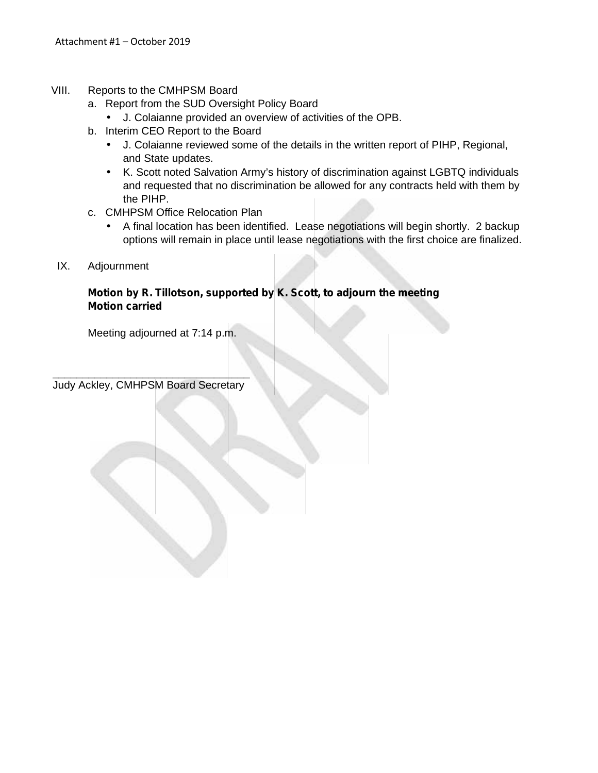- VIII. Reports to the CMHPSM Board
	- a. Report from the SUD Oversight Policy Board
		- J. Colaianne provided an overview of activities of the OPB.
	- b. Interim CEO Report to the Board
		- J. Colaianne reviewed some of the details in the written report of PIHP, Regional, and State updates.
		- K. Scott noted Salvation Army's history of discrimination against LGBTQ individuals and requested that no discrimination be allowed for any contracts held with them by the PIHP.
	- c. CMHPSM Office Relocation Plan
		- A final location has been identified. Lease negotiations will begin shortly. 2 backup options will remain in place until lease negotiations with the first choice are finalized.
	- IX. Adjournment

### **Motion by R. Tillotson, supported by K. Scott, to adjourn the meeting Motion carried**

Meeting adjourned at 7:14 p.m.

 $\overline{\phantom{a}}$  ,  $\overline{\phantom{a}}$  ,  $\overline{\phantom{a}}$  ,  $\overline{\phantom{a}}$  ,  $\overline{\phantom{a}}$  ,  $\overline{\phantom{a}}$  ,  $\overline{\phantom{a}}$  ,  $\overline{\phantom{a}}$  ,  $\overline{\phantom{a}}$  ,  $\overline{\phantom{a}}$  ,  $\overline{\phantom{a}}$  ,  $\overline{\phantom{a}}$  ,  $\overline{\phantom{a}}$  ,  $\overline{\phantom{a}}$  ,  $\overline{\phantom{a}}$  ,  $\overline{\phantom{a}}$ Judy Ackley, CMHPSM Board Secretary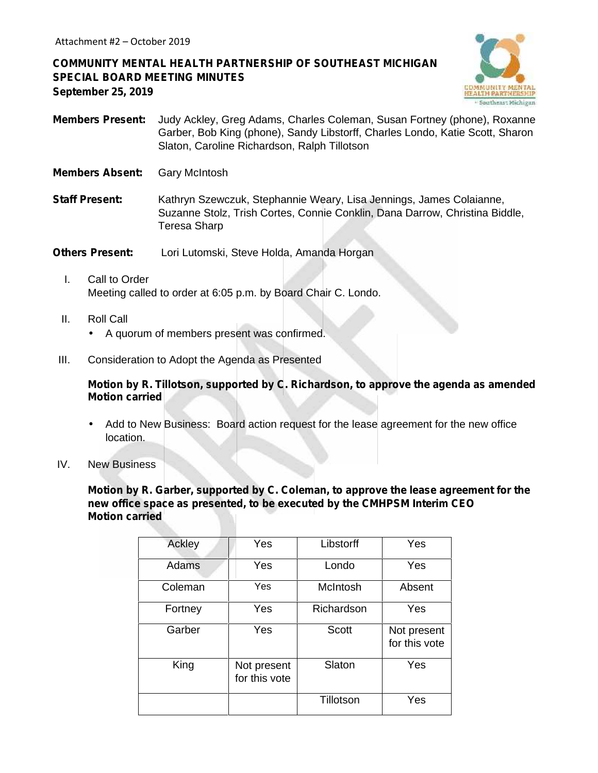# **COMMUNITY MENTAL HEALTH PARTNERSHIP OF SOUTHEAST MICHIGAN SPECIAL BOARD MEETING MINUTES September 25, 2019**



- **Members Present:** Judy Ackley, Greg Adams, Charles Coleman, Susan Fortney (phone), Roxanne Garber, Bob King (phone), Sandy Libstorff, Charles Londo, Katie Scott, Sharon Slaton, Caroline Richardson, Ralph Tillotson
- **Members Absent:** Gary McIntosh
- **Staff Present:** Kathryn Szewczuk, Stephannie Weary, Lisa Jennings, James Colaianne, Suzanne Stolz, Trish Cortes, Connie Conklin, Dana Darrow, Christina Biddle, Teresa Sharp

**Others Present:** Lori Lutomski, Steve Holda, Amanda Horgan

- I. Call to Order Meeting called to order at 6:05 p.m. by Board Chair C. Londo.
- II. Roll Call A quorum of members present was confirmed.
- III. Consideration to Adopt the Agenda as Presented

**Motion by R. Tillotson, supported by C. Richardson, to approve the agenda as amended Motion carried**

- Add to New Business: Board action request for the lease agreement for the new office location.
- IV. New Business

**Motion by R. Garber, supported by C. Coleman, to approve the lease agreement for the new office space as presented, to be executed by the CMHPSM Interim CEO Motion carried**

| Ackley  | Yes                          | Libstorff    | Yes                          |  |  |  |  |
|---------|------------------------------|--------------|------------------------------|--|--|--|--|
| Adams   | Yes                          | Londo        | Yes                          |  |  |  |  |
| Coleman | Yes                          | McIntosh     | Absent                       |  |  |  |  |
| Fortney | Yes                          | Richardson   | Yes                          |  |  |  |  |
| Garber  | Yes                          | <b>Scott</b> | Not present<br>for this vote |  |  |  |  |
| King    | Not present<br>for this vote | Slaton       | Yes                          |  |  |  |  |
|         |                              | Tillotson    | Yes                          |  |  |  |  |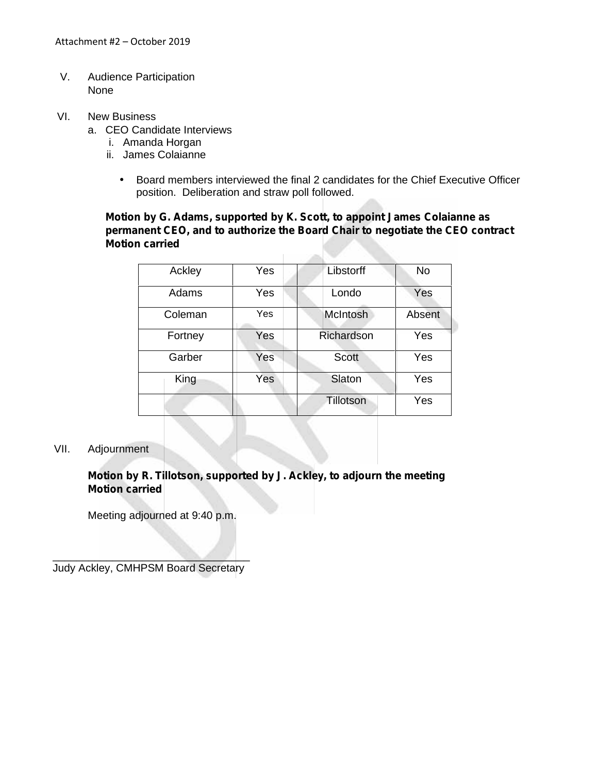- V. Audience Participation None
- VI. New Business
	- a. CEO Candidate Interviews
		- i. Amanda Horgan
		- ii. James Colaianne
			- Board members interviewed the final 2 candidates for the Chief Executive Officer position. Deliberation and straw poll followed.

**Motion by G. Adams, supported by K. Scott, to appoint James Colaianne as permanent CEO, and to authorize the Board Chair to negotiate the CEO contract Motion carried**

**Called** 

| Ackley  | Yes | Libstorff  | <b>No</b> |
|---------|-----|------------|-----------|
| Adams   | Yes | Londo      | Yes       |
| Coleman | Yes | McIntosh   | Absent    |
| Fortney | Yes | Richardson | Yes       |
| Garber  | Yes | Scott      | Yes       |
| King    | Yes | Slaton     | Yes       |
|         |     | Tillotson  | Yes       |

#### VII. Adjournment

**Motion by R. Tillotson, supported by J. Ackley, to adjourn the meeting Motion carried**

Meeting adjourned at 9:40 p.m.

 $\mathcal{L} \subset \mathcal{L}$ Judy Ackley, CMHPSM Board Secretary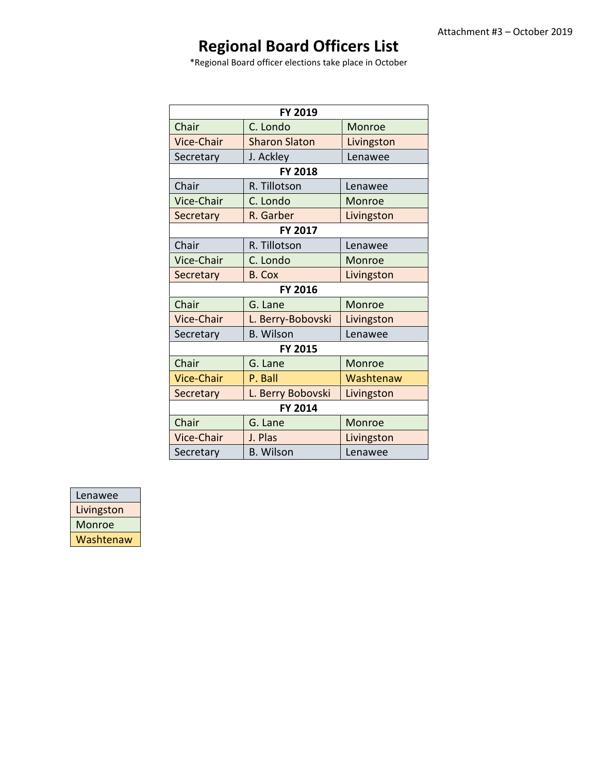# **Regional Board Officers List**

\*Regional Board officer elections take place in October

|            | <b>FY 2019</b>       |               |  |  |  |  |  |
|------------|----------------------|---------------|--|--|--|--|--|
| Chair      | C. Londo             | <b>Monroe</b> |  |  |  |  |  |
| Vice-Chair | <b>Sharon Slaton</b> | Livingston    |  |  |  |  |  |
| Secretary  | J. Ackley            | Lenawee       |  |  |  |  |  |
|            | <b>FY 2018</b>       |               |  |  |  |  |  |
| Chair      | R. Tillotson         | Lenawee       |  |  |  |  |  |
| Vice-Chair | C. Londo             | Monroe        |  |  |  |  |  |
| Secretary  | R. Garber            | Livingston    |  |  |  |  |  |
|            | <b>FY 2017</b>       |               |  |  |  |  |  |
| Chair      | R. Tillotson         | Lenawee       |  |  |  |  |  |
| Vice-Chair | C. Londo             | Monroe        |  |  |  |  |  |
| Secretary  | <b>B. Cox</b>        | Livingston    |  |  |  |  |  |
|            |                      |               |  |  |  |  |  |
| Chair      | G. Lane              | Monroe        |  |  |  |  |  |
| Vice-Chair | L. Berry-Bobovski    | Livingston    |  |  |  |  |  |
| Secretary  | <b>B.</b> Wilson     | Lenawee       |  |  |  |  |  |
|            | <b>FY 2015</b>       |               |  |  |  |  |  |
| Chair      | G. Lane              | Monroe        |  |  |  |  |  |
| Vice-Chair | P. Ball              | Washtenaw     |  |  |  |  |  |
| Secretary  | L. Berry Bobovski    | Livingston    |  |  |  |  |  |
|            |                      |               |  |  |  |  |  |
| Chair      | G. Lane              | Monroe        |  |  |  |  |  |
| Vice-Chair | J. Plas              | Livingston    |  |  |  |  |  |
| Secretary  | <b>B. Wilson</b>     | Lenawee       |  |  |  |  |  |

| Lenawee       |
|---------------|
| Livingston    |
| <b>Monroe</b> |
| Washtenaw     |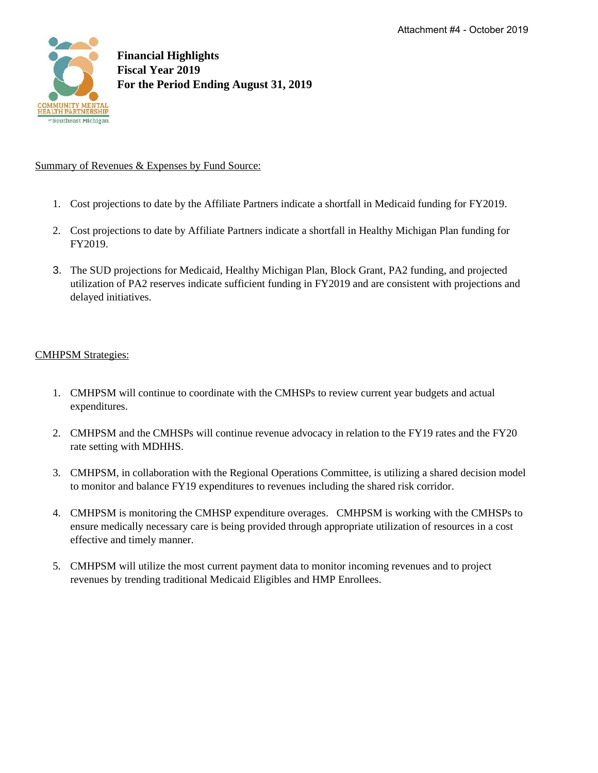

#### Summary of Revenues & Expenses by Fund Source:

- 1. Cost projections to date by the Affiliate Partners indicate a shortfall in Medicaid funding for FY2019.
- 2. Cost projections to date by Affiliate Partners indicate a shortfall in Healthy Michigan Plan funding for FY2019.
- 3. The SUD projections for Medicaid, Healthy Michigan Plan, Block Grant, PA2 funding, and projected utilization of PA2 reserves indicate sufficient funding in FY2019 and are consistent with projections and delayed initiatives.

### CMHPSM Strategies:

- 1. CMHPSM will continue to coordinate with the CMHSPs to review current year budgets and actual expenditures.
- 2. CMHPSM and the CMHSPs will continue revenue advocacy in relation to the FY19 rates and the FY20 rate setting with MDHHS.
- 3. CMHPSM, in collaboration with the Regional Operations Committee, is utilizing a shared decision model to monitor and balance FY19 expenditures to revenues including the shared risk corridor.
- 4. CMHPSM is monitoring the CMHSP expenditure overages. CMHPSM is working with the CMHSPs to ensure medically necessary care is being provided through appropriate utilization of resources in a cost effective and timely manner.
- 5. CMHPSM will utilize the most current payment data to monitor incoming revenues and to project revenues by trending traditional Medicaid Eligibles and HMP Enrollees.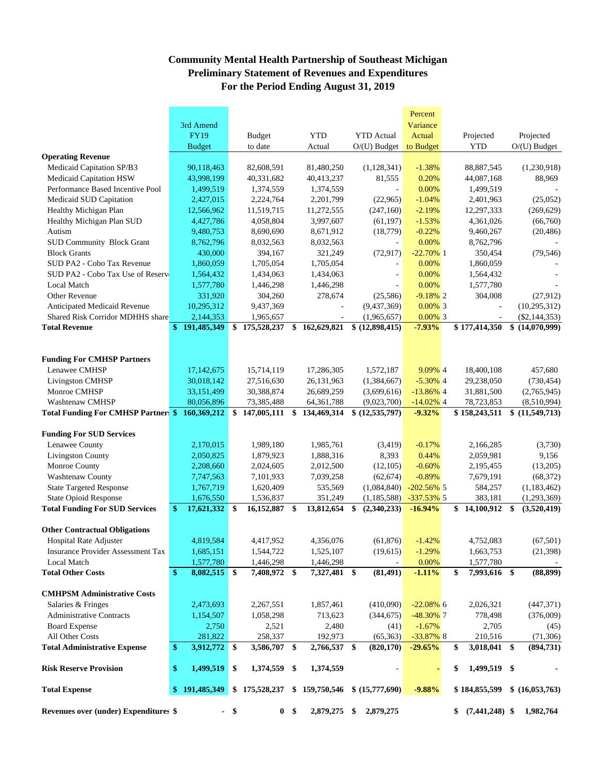## **Community Mental Health Partnership of Southeast Michigan Preliminary Statement of Revenues and Expenditures For the Period Ending August 31, 2019**

|                                                   |               |                |        |                             |                |                              |    |                            | Percent                 |                          |                |                            |  |  |  |  |  |
|---------------------------------------------------|---------------|----------------|--------|-----------------------------|----------------|------------------------------|----|----------------------------|-------------------------|--------------------------|----------------|----------------------------|--|--|--|--|--|
|                                                   | 3rd Amend     |                |        |                             |                |                              |    |                            | Variance                |                          |                |                            |  |  |  |  |  |
|                                                   |               | <b>FY19</b>    |        | <b>Budget</b>               |                | <b>YTD</b>                   |    | <b>YTD</b> Actual          | Actual                  | Projected                |                | Projected                  |  |  |  |  |  |
|                                                   |               | <b>Budget</b>  |        | to date                     |                | Actual                       |    | $O/(U)$ Budget             | to Budget               | <b>YTD</b>               |                | $O(U)$ Budget              |  |  |  |  |  |
| <b>Operating Revenue</b>                          |               |                |        |                             |                |                              |    |                            |                         |                          |                |                            |  |  |  |  |  |
| Medicaid Capitation SP/B3                         |               | 90,118,463     |        | 82,608,591                  |                | 81,480,250                   |    | (1,128,341)                | $-1.38%$                | 88,887,545               |                | (1,230,918)                |  |  |  |  |  |
| Medicaid Capitation HSW                           |               | 43,998,199     |        | 40,331,682                  |                | 40,413,237                   |    | 81,555                     | 0.20%                   | 44,087,168               |                | 88,969                     |  |  |  |  |  |
| Performance Based Incentive Pool                  |               | 1,499,519      |        | 1,374,559                   |                | 1,374,559                    |    |                            | 0.00%                   | 1,499,519                |                |                            |  |  |  |  |  |
| Medicaid SUD Capitation                           |               | 2,427,015      |        | 2,224,764                   |                | 2,201,799                    |    | (22,965)                   | $-1.04%$                | 2,401,963                |                | (25,052)                   |  |  |  |  |  |
| Healthy Michigan Plan                             |               | 12,566,962     |        | 11,519,715                  |                | 11,272,555                   |    | (247,160)                  | $-2.19%$                | 12,297,333               |                | (269, 629)                 |  |  |  |  |  |
| Healthy Michigan Plan SUD                         |               | 4,427,786      |        | 4,058,804                   |                | 3,997,607                    |    | (61, 197)                  | $-1.53%$                | 4,361,026                |                | (66,760)                   |  |  |  |  |  |
| Autism                                            |               | 9,480,753      |        | 8,690,690                   |                | 8,671,912                    |    | (18, 779)                  | $-0.22%$                | 9,460,267                |                | (20, 486)                  |  |  |  |  |  |
| <b>SUD Community Block Grant</b>                  |               | 8,762,796      |        | 8,032,563                   |                | 8,032,563                    |    |                            | 0.00%                   | 8,762,796                |                |                            |  |  |  |  |  |
| <b>Block Grants</b>                               |               | 430,000        |        | 394,167                     |                | 321,249                      |    | (72, 917)                  | $-22.70\%$ 1            | 350,454                  |                | (79, 546)                  |  |  |  |  |  |
| SUD PA2 - Cobo Tax Revenue                        |               | 1,860,059      |        | 1,705,054                   |                | 1,705,054                    |    |                            | 0.00%                   | 1,860,059                |                |                            |  |  |  |  |  |
| SUD PA2 - Cobo Tax Use of Reserv                  |               | 1,564,432      |        | 1,434,063                   |                | 1,434,063                    |    | ÷                          | 0.00%                   | 1,564,432                |                |                            |  |  |  |  |  |
| Local Match                                       |               | 1,577,780      |        | 1,446,298                   |                | 1,446,298                    |    |                            | 0.00%                   | 1,577,780                |                |                            |  |  |  |  |  |
| Other Revenue                                     |               | 331,920        |        | 304,260                     |                | 278,674                      |    | (25, 586)                  | $-9.18\%$ 2             | 304,008                  |                | (27,912)                   |  |  |  |  |  |
| Anticipated Medicaid Revenue                      |               | 10,295,312     |        | 9,437,369                   |                | $\sim$                       |    | (9,437,369)                | $0.00\%$ 3              | ÷,                       | (10, 295, 312) |                            |  |  |  |  |  |
| <b>Shared Risk Corridor MDHHS share</b>           |               | 2,144,353      |        | 1,965,657                   |                | $\overline{\phantom{a}}$     |    | (1,965,657)                | $0.00\%$ 3              | $\overline{\phantom{a}}$ |                | $(\$2,144,353)$            |  |  |  |  |  |
| <b>Total Revenue</b>                              |               | \$191,485,349  |        | $\overline{\$}$ 175,528,237 | \$             | 162,629,821                  |    | \$ (12,898,415)            | $-7.93%$                | \$177,414,350            |                | \$(14,070,999)             |  |  |  |  |  |
|                                                   |               |                |        |                             |                |                              |    |                            |                         |                          |                |                            |  |  |  |  |  |
|                                                   |               |                |        |                             |                |                              |    |                            |                         |                          |                |                            |  |  |  |  |  |
| <b>Funding For CMHSP Partners</b>                 |               |                |        |                             |                |                              |    |                            |                         |                          |                |                            |  |  |  |  |  |
| Lenawee CMHSP                                     |               | 17,142,675     |        | 15,714,119                  |                | 17,286,305                   |    | 1,572,187                  | 9.09% 4                 | 18,400,108               |                | 457,680                    |  |  |  |  |  |
| <b>Livingston CMHSP</b>                           |               | 30,018,142     |        | 27,516,630                  |                | 26,131,963                   |    | (1,384,667)                | $-5.30\%$ 4             | 29,238,050               |                | (730, 454)                 |  |  |  |  |  |
| Monroe CMHSP                                      |               | 33,151,499     |        | 30,388,874                  |                | 26,689,259                   |    | (3,699,616)                | $-13.86\%$ 4            | 31,881,500               |                | (2,765,945)                |  |  |  |  |  |
| Washtenaw CMHSP                                   |               | 80,056,896     |        | 73,385,488                  |                | 64, 361, 788                 |    | (9,023,700)                | $-14.02\%$ 4            | 78,723,853               |                | (8,510,994)                |  |  |  |  |  |
| <b>Total Funding For CMHSP Partner: \$</b>        |               | 160,369,212    | \$     | 147,005,111                 | \$             | 134,469,314                  |    | \$(12,535,797)             | $-9.32%$                | \$158,243,511            | \$             | (11,549,713)               |  |  |  |  |  |
|                                                   |               |                |        |                             |                |                              |    |                            |                         |                          |                |                            |  |  |  |  |  |
| <b>Funding For SUD Services</b><br>Lenawee County |               | 2,170,015      |        | 1,989,180                   |                | 1,985,761                    |    |                            | $-0.17%$                | 2,166,285                |                | (3,730)                    |  |  |  |  |  |
| <b>Livingston County</b>                          |               | 2,050,825      |        |                             |                |                              |    | (3,419)<br>8,393           | 0.44%                   | 2,059,981                |                | 9,156                      |  |  |  |  |  |
| Monroe County                                     |               | 2,208,660      |        | 1,879,923<br>2,024,605      |                | 1,888,316<br>2,012,500       |    |                            | $-0.60%$                | 2,195,455                |                | (13,205)                   |  |  |  |  |  |
| Washtenaw County                                  |               | 7,747,563      |        | 7,101,933                   |                | 7,039,258                    |    | (12,105)                   | $-0.89%$                | 7,679,191                |                |                            |  |  |  |  |  |
| <b>State Targeted Response</b>                    |               | 1,767,719      |        |                             |                | 535,569                      |    | (62, 674)                  | $-202.56\%$ 5           | 584,257                  |                | (68, 372)                  |  |  |  |  |  |
| <b>State Opioid Response</b>                      |               |                |        | 1,620,409                   |                |                              |    | (1,084,840)                |                         |                          |                | (1, 183, 462)              |  |  |  |  |  |
| <b>Total Funding For SUD Services</b>             | $\mathbf{\$}$ | 1,676,550      |        | 1,536,837                   |                | 351,249<br>13,812,654        | \$ | (1,185,588)<br>(2,340,233) | -337.53% 5<br>$-16.94%$ | 383,181<br>\$            | \$             | (1,293,369)<br>(3,520,419) |  |  |  |  |  |
|                                                   |               | 17,621,332 \$  |        | 16,152,887 \$               |                |                              |    |                            |                         | 14,100,912               |                |                            |  |  |  |  |  |
| <b>Other Contractual Obligations</b>              |               |                |        |                             |                |                              |    |                            |                         |                          |                |                            |  |  |  |  |  |
| <b>Hospital Rate Adjuster</b>                     |               | 4.819.584      |        | 4,417,952                   |                | 4,356,076                    |    | (61, 876)                  | $-1.42%$                | 4,752,083                |                | (67, 501)                  |  |  |  |  |  |
| <b>Insurance Provider Assessment Tax</b>          |               | 1,685,151      |        | 1,544,722                   |                | 1,525,107                    |    | (19,615)                   | $-1.29%$                | 1,663,753                |                | (21, 398)                  |  |  |  |  |  |
| Local Match                                       |               | 1,577,780      |        | 1,446,298                   |                | 1,446,298                    |    |                            | 0.00%                   | 1,577,780                |                |                            |  |  |  |  |  |
| <b>Total Other Costs</b>                          | \$            | 8,082,515 \$   |        | 7,408,972 \$                |                | 7,327,481 \$                 |    | (81, 491)                  | $-1.11%$                | \$<br>7,993,616 \$       |                | (88, 899)                  |  |  |  |  |  |
|                                                   |               |                |        |                             |                |                              |    |                            |                         |                          |                |                            |  |  |  |  |  |
| <b>CMHPSM Administrative Costs</b>                |               |                |        |                             |                |                              |    |                            |                         |                          |                |                            |  |  |  |  |  |
| Salaries & Fringes                                |               | 2,473,693      |        | 2,267,551                   |                | 1,857,461                    |    | (410,090)                  | $-22.08\%$ 6            | 2,026,321                |                | (447, 371)                 |  |  |  |  |  |
| <b>Administrative Contracts</b>                   |               | 1,154,507      |        | 1,058,298                   |                | 713,623                      |    | (344, 675)                 | $-48.30\%$ 7            | 778,498                  |                | (376,009)                  |  |  |  |  |  |
| <b>Board Expense</b>                              |               | 2,750          |        | 2,521                       |                | 2,480                        |    | (41)                       | $-1.67%$                | 2,705                    |                | (45)                       |  |  |  |  |  |
| All Other Costs                                   |               | 281,822        |        | 258,337                     |                | 192,973                      |    | (65, 363)                  | $-33.87\%$ 8            | 210,516                  |                | (71, 306)                  |  |  |  |  |  |
| <b>Total Administrative Expense</b>               | \$            | $3,912,772$ \$ |        | 3,586,707 \$                |                | 2,766,537 \$                 |    | (820, 170)                 | $-29.65%$               | \$<br>3,018,041 \$       |                | (894,731)                  |  |  |  |  |  |
| <b>Risk Reserve Provision</b>                     | \$            | 1,499,519      | \$     | 1,374,559 \$                |                | 1,374,559                    |    |                            |                         | 1,499,519 \$<br>\$       |                |                            |  |  |  |  |  |
| <b>Total Expense</b>                              | \$            | 191,485,349    |        | \$175,528,237               |                | \$159,750,546 \$(15,777,690) |    |                            | $-9.88%$                | \$184,855,599            |                | \$ (16,053,763)            |  |  |  |  |  |
| Revenues over (under) Expenditures \$             |               |                | $-$ \$ |                             | 0 <sup>5</sup> | 2,879,275 \$                 |    | 2,879,275                  |                         | $$7,441,248$ \;          |                | 1,982,764                  |  |  |  |  |  |
|                                                   |               |                |        |                             |                |                              |    |                            |                         |                          |                |                            |  |  |  |  |  |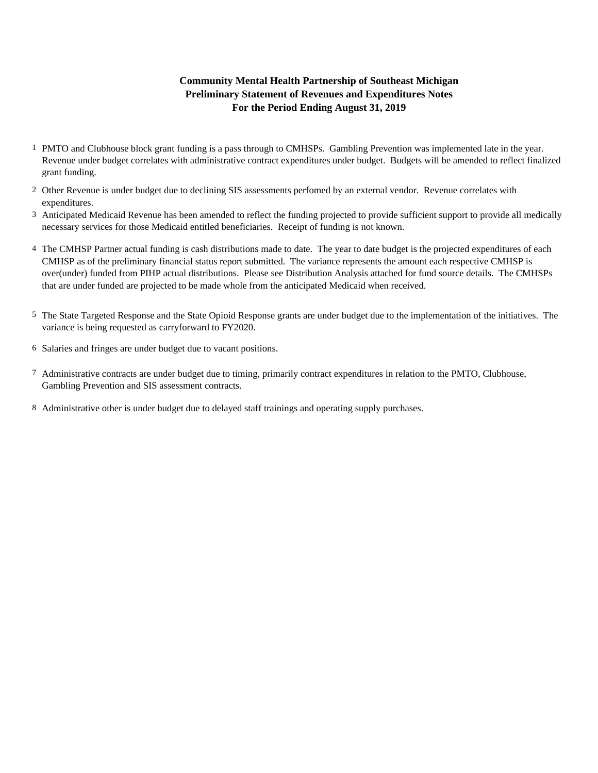### **For the Period Ending August 31, 2019 Community Mental Health Partnership of Southeast Michigan Preliminary Statement of Revenues and Expenditures Notes**

- 1 PMTO and Clubhouse block grant funding is a pass through to CMHSPs. Gambling Prevention was implemented late in the year. Revenue under budget correlates with administrative contract expenditures under budget. Budgets will be amended to reflect finalized grant funding.
- 2 Other Revenue is under budget due to declining SIS assessments perfomed by an external vendor. Revenue correlates with expenditures.
- 3 Anticipated Medicaid Revenue has been amended to reflect the funding projected to provide sufficient support to provide all medically necessary services for those Medicaid entitled beneficiaries. Receipt of funding is not known.
- 4 The CMHSP Partner actual funding is cash distributions made to date. The year to date budget is the projected expenditures of each CMHSP as of the preliminary financial status report submitted. The variance represents the amount each respective CMHSP is over(under) funded from PIHP actual distributions. Please see Distribution Analysis attached for fund source details. The CMHSPs that are under funded are projected to be made whole from the anticipated Medicaid when received.
- 5 The State Targeted Response and the State Opioid Response grants are under budget due to the implementation of the initiatives. The variance is being requested as carryforward to FY2020.
- 6 Salaries and fringes are under budget due to vacant positions.
- 7 Administrative contracts are under budget due to timing, primarily contract expenditures in relation to the PMTO, Clubhouse, Gambling Prevention and SIS assessment contracts.
- 8 Administrative other is under budget due to delayed staff trainings and operating supply purchases.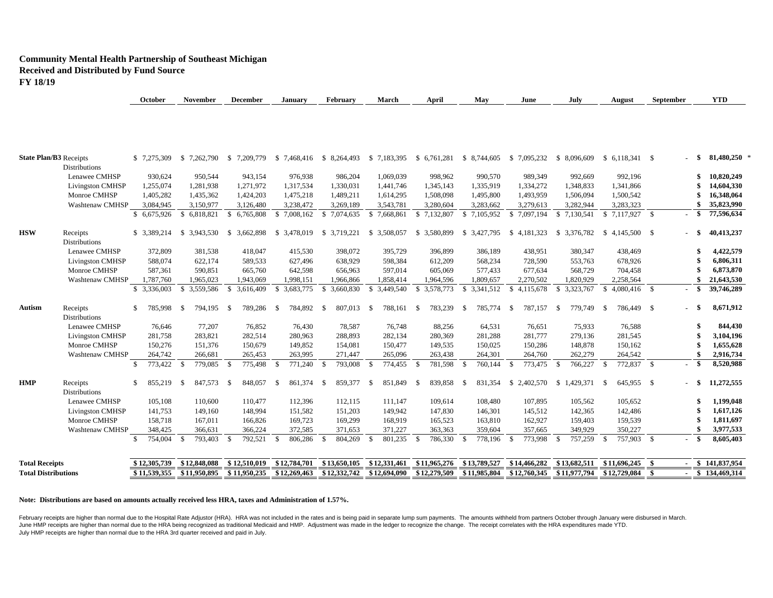#### **Community Mental Health Partnership of Southeast Michigan Received and Distributed by Fund Source FY 18/19**

| <b>Total Receipts</b>                          |               | \$12,305,739 | \$12,848,088 |           | \$12,510,019                  | \$12,784,701              | \$13,650,105     |           | \$12,331,461                  | \$11,965,276                  | \$13,789,527               | \$14,466,282            | \$13,682,511                  | $$11,696,245$ \$         |        | $-$ \$ 141,837,954 |
|------------------------------------------------|---------------|--------------|--------------|-----------|-------------------------------|---------------------------|------------------|-----------|-------------------------------|-------------------------------|----------------------------|-------------------------|-------------------------------|--------------------------|--------|--------------------|
|                                                | $\mathcal{S}$ | 754,004      | -\$          | 793,403   | 792,521<br>$\mathbf{\hat{s}}$ | $\mathbb{S}$<br>806,286   | $\mathcal{S}$    | 804,269   | 801,235<br>$\mathcal{S}$      | $\mathbf{\hat{S}}$<br>786,330 | 778,196                    | 773,998<br>-\$          | $\mathbf{\hat{s}}$<br>757,259 | 757,903 \$<br>-\$        | - \$   | 8,605,403          |
| <b>Washtenaw CMHSP</b>                         |               | 348,425      |              | 366,631   | 366,224                       | 372,585                   |                  | 371,653   | 371,227                       | 363,363                       | 359,604                    | 357,665                 | 349,929                       | 350,227                  |        | 3,977,533          |
| Monroe CMHSP                                   |               | 158,718      |              | 167,011   | 166,826                       | 169,723                   |                  | 169,299   | 168,919                       | 165,523                       | 163,810                    | 162,927                 | 159,403                       | 159,539                  |        | 1,811,697          |
| <b>Livingston CMHSP</b>                        |               | 141,753      |              | 149,160   | 148,994                       | 151,582                   |                  | 151,203   | 149,942                       | 147,830                       | 146,301                    | 145,512                 | 142,365                       | 142,486                  |        | 1,617,126          |
| Lenawee CMHSP                                  |               | 105,108      |              | 110,600   | 110,477                       | 112,396                   |                  | 112,115   | 111,147                       | 109,614                       | 108,480                    | 107,895                 | 105,562                       | 105,652                  | \$     | 1,199,048          |
| <b>Distributions</b>                           |               |              |              |           |                               |                           |                  |           |                               |                               |                            |                         |                               |                          |        |                    |
| <b>HMP</b><br>Receipts                         | \$            | 855,219      | - \$         | 847,573   | 848,057<br>-\$                | 861,374<br>-S             | \$               | 859,377   | 851,849<br>-\$                | 839,858<br>- \$               | 831,354<br>- \$            | \$2,402,570             | \$1.429,371                   | 645.955 \$<br>- \$       | $-$ \$ | 11,272,555         |
|                                                | $\mathcal{S}$ | 773,422      | - \$         | 779,085   | -\$<br>775,498                | - \$<br>771,240           | $\mathbf{s}$     | 793,008   | $\mathbf{\hat{S}}$<br>774,455 | \$<br>781,598                 | 760,144                    | 773,475<br>\$           | $\mathbf{\hat{S}}$<br>766,227 | 772,837 \$<br>- \$       | $-$ \$ | 8,520,988          |
| Washtenaw CMHSP                                |               | 264,742      |              | 266,681   | 265,453                       | 263,995                   |                  | 271,447   | 265,096                       | 263,438                       | 264,301                    | 264,760                 | 262,279                       | 264,542                  |        | 2,916,734          |
| Monroe CMHSP                                   |               | 150,276      |              | 151,376   | 150,679                       | 149,852                   |                  | 154,081   | 150,477                       | 149,535                       | 150,025                    | 150,286                 | 148,878                       | 150,162                  |        | 1,655,628          |
| <b>Livingston CMHSP</b>                        |               | 281,758      |              | 283,821   | 282,514                       | 280,963                   |                  | 288,893   | 282,134                       | 280,369                       | 281,288                    | 281,777                 | 279,136                       | 281,545                  |        | 3,104,196          |
| Lenawee CMHSP                                  |               | 76,646       |              | 77,207    | 76,852                        | 76,430                    |                  | 78,587    | 76,748                        | 88,256                        | 64,531                     | 76,651                  | 75,933                        | 76,588                   |        | 844,430            |
| Receipts<br>Autism<br><b>Distributions</b>     | \$            | 785,998      | - \$         | 794,195   | 789,286<br><sup>\$</sup>      | 784,892<br>- \$           | - \$             | 807,013   | 788,161<br>-S                 | 783,239<br>\$                 | 785,774<br>-\$             | 787,157<br><sup>S</sup> | 779,749<br><sup>\$</sup>      | 786,449 \$<br>$^{\circ}$ | $-$ \$ | 8,671,912          |
|                                                |               | \$ 3,336,003 | \$3,559,586  |           | 3,616,409<br>-\$              | \$ 3,683,775              | \$.<br>3,660,830 |           | 3,449,540<br>S.               | \$3,578,773                   | 3,341,512<br>-S            | 4,115,678<br>\$         | \$ 3,323,767                  | $$4,080,416$ \ \$        | - \$   | 39,746,289         |
| Washtenaw CMHSP                                |               | 1,787,760    |              | 1,965,023 | 1,943,069                     | 1,998,151                 |                  | 1,966,866 | 1,858,414                     | 1,964,596                     | 1,809,657                  | 2,270,502               | 1,820,929                     | 2,258,564                | \$     | 21,643,530         |
| Monroe CMHSP                                   |               | 587,361      |              | 590,851   | 665,760                       | 642,598                   |                  | 656,963   | 597,014                       | 605,069                       | 577,433                    | 677,634                 | 568,729                       | 704,458                  |        | 6,873,870          |
| <b>Livingston CMHSP</b>                        |               | 588,074      |              | 622,174   | 589,533                       | 627,496                   |                  | 638,929   | 598,384                       | 612,209                       | 568,234                    | 728,590                 | 553,763                       | 678,926                  |        | 6,806,311          |
| Lenawee CMHSP                                  |               | 372,809      |              | 381,538   | 418,047                       | 415,530                   |                  | 398,072   | 395,729                       | 396,899                       | 386,189                    | 438,951                 | 380,347                       | 438,469                  |        | 4,422,579          |
| <b>HSW</b><br>Receipts<br><b>Distributions</b> |               | \$ 3,389,214 | \$ 3,943,530 |           | \$ 3,662,898                  | \$ 3,478,019              | \$ 3,719,221     |           | \$ 3,508,057                  | \$3,580,899                   | \$ 3,427,795               | \$4,181,323             | \$3,376,782                   | $$4,145,500$ \ \$        | $-$ \$ | 40,413,237         |
|                                                |               |              |              |           |                               |                           |                  |           |                               |                               |                            |                         |                               |                          |        |                    |
|                                                |               | \$6,675,926  | \$6,818,821  |           | 6,765,808<br>\$               | \$7,008,162               | 7,074,635<br>\$  |           | \$7,668,861                   | \$ 7,132,807                  | 7,105,952<br>$\mathcal{S}$ | \$7,097,194             | \$ 7,130,541                  |                          | $-$ \$ | 77,596,634         |
| Washtenaw CMHSP                                |               | 3,084,945    |              | 3,150,977 | 3,126,480                     | 3,238,472                 | 3,269,189        |           | 3,543,781                     | 3,280,604                     | 3,283,662                  | 3,279,613               | 3,282,944                     | 3,283,323                | \$     | 35,823,990         |
| Monroe CMHSP                                   |               | 1,405,282    |              | 1,435,362 | 1,424,203                     | 1,475,218                 | 1,489,211        |           | 1,614,295                     | 1,508,098                     | 1,495,800                  | 1,493,959               | 1,506,094                     | 1,500,542                |        | 16,348,064         |
| <b>Livingston CMHSP</b>                        |               | 1,255,074    |              | 1,281,938 | 1,271,972                     | 1,317,534                 | 1,330,031        |           | 1,441,746                     | 1,345,143                     | 1,335,919                  | 1,334,272               | 1,348,833                     | 1,341,866                |        | 14,604,330         |
| <b>Distributions</b><br>Lenawee CMHSP          |               | 930,624      |              | 950,544   | 943,154                       | 976,938                   |                  | 986,204   | 1,069,039                     | 998,962                       | 990,570                    | 989,349                 | 992,669                       | 992,196                  |        | 10,820,249<br>\$   |
|                                                |               | \$ 7,275,309 | \$           | 7,262,790 | \$7,209,779                   | $$7,468,416$ $$8,264,493$ |                  |           | \$7,183,395                   | \$6,761,281                   | \$ 8,744,605               | \$7,095,232             | \$ 8,096,609                  |                          | - \$   | $81,480,250$ *     |

**October November December January February March April May June July August September YTD**

#### **Note: Distributions are based on amounts actually received less HRA, taxes and Administration of 1.57%.**

February receipts are higher than normal due to the Hospital Rate Adjustor (HRA). HRA was not included in the rates and is being paid in separate lump sum payments. The amounts withheld from partners October through Januar June HMP receipts are higher than normal due to the HRA being recognized as traditional Medicaid and HMP. Adjustment was made in the ledger to recognize the change. The receipt correlates with the HRA expenditures made YTD July HMP receipts are higher than normal due to the HRA 3rd quarter received and paid in July.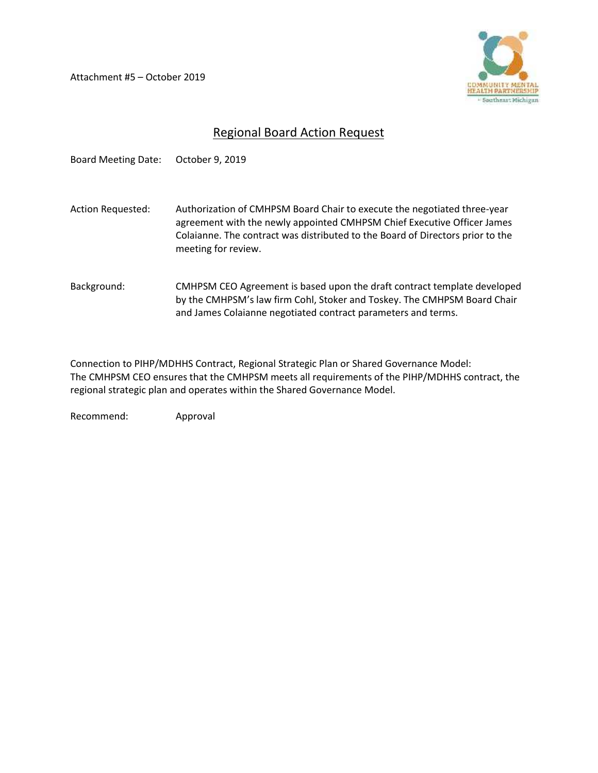Attachment #5 – October 2019



# Regional Board Action Request

Board Meeting Date: October 9, 2019 Action Requested: Authorization of CMHPSM Board Chair to execute the negotiated three-year agreement with the newly appointed CMHPSM Chief Executive Officer James Colaianne. The contract was distributed to the Board of Directors prior to the meeting for review. Background: CMHPSM CEO Agreement is based upon the draft contract template developed by the CMHPSM's law firm Cohl, Stoker and Toskey. The CMHPSM Board Chair and James Colaianne negotiated contract parameters and terms.

Connection to PIHP/MDHHS Contract, Regional Strategic Plan or Shared Governance Model: The CMHPSM CEO ensures that the CMHPSM meets all requirements of the PIHP/MDHHS contract, the regional strategic plan and operates within the Shared Governance Model.

Recommend: Approval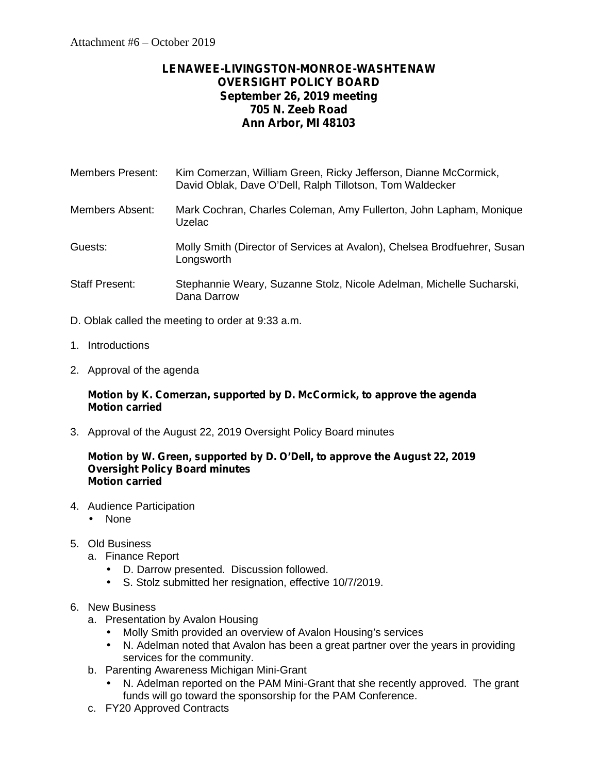# **LENAWEE-LIVINGSTON-MONROE-WASHTENAW OVERSIGHT POLICY BOARD September 26, 2019 meeting 705 N. Zeeb Road Ann Arbor, MI 48103**

| Members Present: | Kim Comerzan, William Green, Ricky Jefferson, Dianne McCormick, |
|------------------|-----------------------------------------------------------------|
|                  | David Oblak, Dave O'Dell, Ralph Tillotson, Tom Waldecker        |
|                  |                                                                 |

- Members Absent: Mark Cochran, Charles Coleman, Amy Fullerton, John Lapham, Monique Uzelac
- Guests: Molly Smith (Director of Services at Avalon), Chelsea Brodfuehrer, Susan Longsworth
- Staff Present: Stephannie Weary, Suzanne Stolz, Nicole Adelman, Michelle Sucharski, Dana Darrow
- D. Oblak called the meeting to order at 9:33 a.m.
- 1. Introductions
- 2. Approval of the agenda

#### **Motion by K. Comerzan, supported by D. McCormick, to approve the agenda Motion carried**

3. Approval of the August 22, 2019 Oversight Policy Board minutes

#### **Motion by W. Green, supported by D. O'Dell, to approve the August 22, 2019 Oversight Policy Board minutes Motion carried**

- 4. Audience Participation
	- None
- 5. Old Business
	- a. Finance Report
		- D. Darrow presented. Discussion followed.<br>
		5. Stolz submitted her resignation. effective
			- S. Stolz submitted her resignation, effective 10/7/2019.

### 6. New Business

- a. Presentation by Avalon Housing
	- Molly Smith provided an overview of Avalon Housing's services
	- N. Adelman noted that Avalon has been a great partner over the years in providing services for the community.
- b. Parenting Awareness Michigan Mini-Grant
	- N. Adelman reported on the PAM Mini-Grant that she recently approved. The grant funds will go toward the sponsorship for the PAM Conference.
- c. FY20 Approved Contracts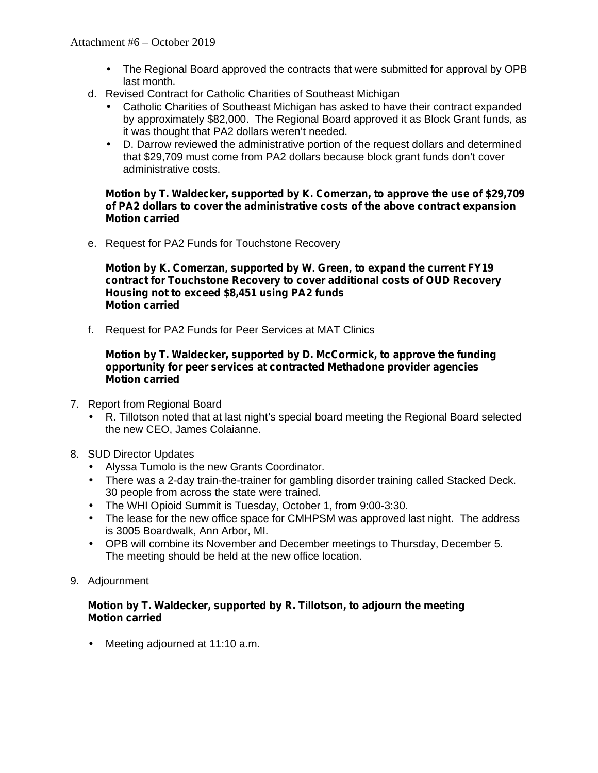- The Regional Board approved the contracts that were submitted for approval by OPB last month.
- d. Revised Contract for Catholic Charities of Southeast Michigan
	- Catholic Charities of Southeast Michigan has asked to have their contract expanded by approximately \$82,000. The Regional Board approved it as Block Grant funds, as it was thought that PA2 dollars weren't needed.
	- D. Darrow reviewed the administrative portion of the request dollars and determined that \$29,709 must come from PA2 dollars because block grant funds don't cover administrative costs.

#### **Motion by T. Waldecker, supported by K. Comerzan, to approve the use of \$29,709 of PA2 dollars to cover the administrative costs of the above contract expansion Motion carried**

e. Request for PA2 Funds for Touchstone Recovery

**Motion by K. Comerzan, supported by W. Green, to expand the current FY19 contract for Touchstone Recovery to cover additional costs of OUD Recovery Housing not to exceed \$8,451 using PA2 funds Motion carried**

f. Request for PA2 Funds for Peer Services at MAT Clinics

#### **Motion by T. Waldecker, supported by D. McCormick, to approve the funding opportunity for peer services at contracted Methadone provider agencies Motion carried**

- 7. Report from Regional Board
	- R. Tillotson noted that at last night's special board meeting the Regional Board selected the new CEO, James Colaianne.
- 8. SUD Director Updates
	- Alyssa Tumolo is the new Grants Coordinator.
	- There was a 2-day train-the-trainer for gambling disorder training called Stacked Deck. 30 people from across the state were trained.
	- The WHI Opioid Summit is Tuesday, October 1, from 9:00-3:30.
	- The lease for the new office space for CMHPSM was approved last night. The address is 3005 Boardwalk, Ann Arbor, MI.
	- OPB will combine its November and December meetings to Thursday, December 5. The meeting should be held at the new office location.
- 9. Adjournment

#### **Motion by T. Waldecker, supported by R. Tillotson, to adjourn the meeting Motion carried**

Meeting adjourned at 11:10 a.m.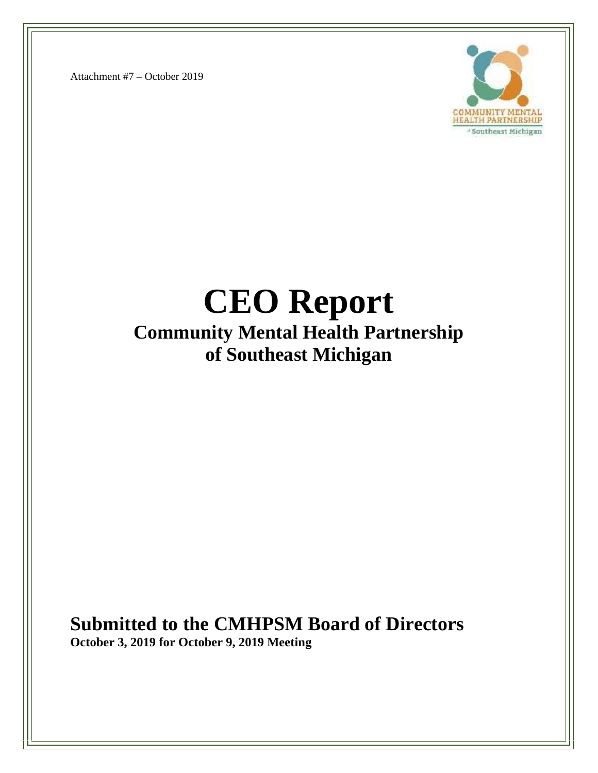Attachment #7 – October 2019



# **CEO Report Community Mental Health Partnership of Southeast Michigan**

# **Submitted to the CMHPSM Board of Directors**

**October 3, 2019 for October 9, 2019 Meeting**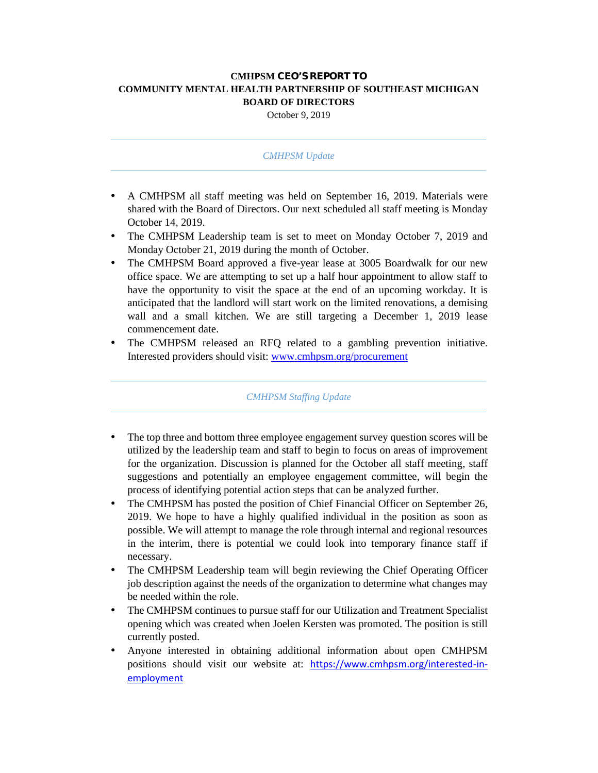#### **CMHPSM CEO'S REPORT TO COMMUNITY MENTAL HEALTH PARTNERSHIP OF SOUTHEAST MICHIGAN BOARD OF DIRECTORS**

October 9, 2019

#### *CMHPSM Update*

- A CMHPSM all staff meeting was held on September 16, 2019. Materials were shared with the Board of Directors. Our next scheduled all staff meeting is Monday October 14, 2019.
- The CMHPSM Leadership team is set to meet on Monday October 7, 2019 and Monday October 21, 2019 during the month of October.
- The CMHPSM Board approved a five-year lease at 3005 Boardwalk for our new office space. We are attempting to set up a half hour appointment to allow staff to have the opportunity to visit the space at the end of an upcoming workday. It is anticipated that the landlord will start work on the limited renovations, a demising wall and a small kitchen. We are still targeting a December 1, 2019 lease commencement date.
- The CMHPSM released an RFQ related to a gambling prevention initiative. Interested providers should visit: www.cmhpsm.org/procurement

#### *CMHPSM Staffing Update*

- The top three and bottom three employee engagement survey question scores will be utilized by the leadership team and staff to begin to focus on areas of improvement for the organization. Discussion is planned for the October all staff meeting, staff suggestions and potentially an employee engagement committee, will begin the process of identifying potential action steps that can be analyzed further.
- The CMHPSM has posted the position of Chief Financial Officer on September 26, 2019. We hope to have a highly qualified individual in the position as soon as possible. We will attempt to manage the role through internal and regional resources in the interim, there is potential we could look into temporary finance staff if necessary.
- The CMHPSM Leadership team will begin reviewing the Chief Operating Officer job description against the needs of the organization to determine what changes may be needed within the role.
- The CMHPSM continues to pursue staff for our Utilization and Treatment Specialist opening which was created when Joelen Kersten was promoted. The position is still currently posted.
- Anyone interested in obtaining additional information about open CMHPSM positions should visit our website at: https://www.cmhpsm.org/interested-in employment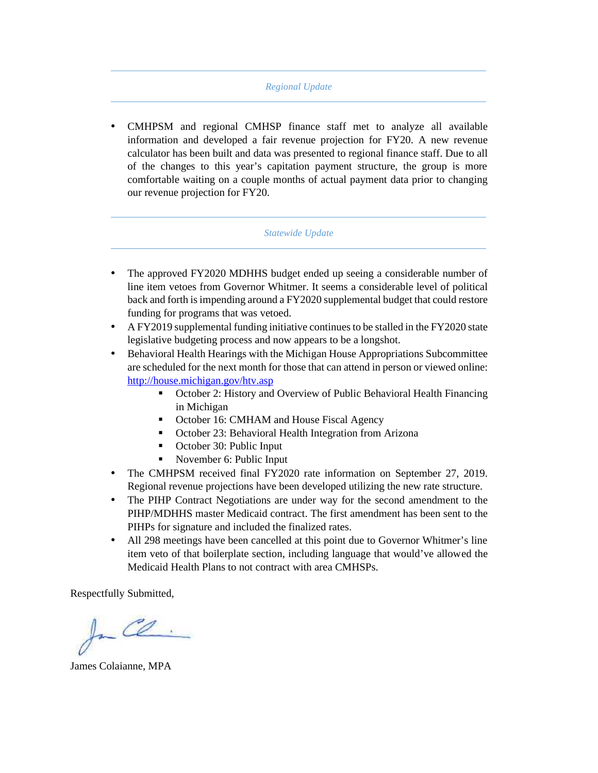#### *Regional Update*

 CMHPSM and regional CMHSP finance staff met to analyze all available information and developed a fair revenue projection for FY20. A new revenue calculator has been built and data was presented to regional finance staff. Due to all of the changes to this year's capitation payment structure, the group is more comfortable waiting on a couple months of actual payment data prior to changing our revenue projection for FY20.

#### *Statewide Update*

- The approved FY2020 MDHHS budget ended up seeing a considerable number of line item vetoes from Governor Whitmer. It seems a considerable level of political back and forth is impending around a FY2020 supplemental budget that could restore funding for programs that was vetoed.
- A FY2019 supplemental funding initiative continues to be stalled in the FY2020 state legislative budgeting process and now appears to be a longshot.

 Behavioral Health Hearings with the Michigan House Appropriations Subcommittee are scheduled for the next month for those that can attend in person or viewed online: http://house.michigan.gov/htv.asp

- October 2: History and Overview of Public Behavioral Health Financing in Michigan
- October 16: CMHAM and House Fiscal Agency
- October 23: Behavioral Health Integration from Arizona
- October 30: Public Input
- November 6: Public Input
- The CMHPSM received final FY2020 rate information on September 27, 2019. Regional revenue projections have been developed utilizing the new rate structure.
- The PIHP Contract Negotiations are under way for the second amendment to the PIHP/MDHHS master Medicaid contract. The first amendment has been sent to the PIHPs for signature and included the finalized rates.
- All 298 meetings have been cancelled at this point due to Governor Whitmer's line item veto of that boilerplate section, including language that would've allowed the Medicaid Health Plans to not contract with area CMHSPs.

Respectfully Submitted,

In Ce.

James Colaianne, MPA